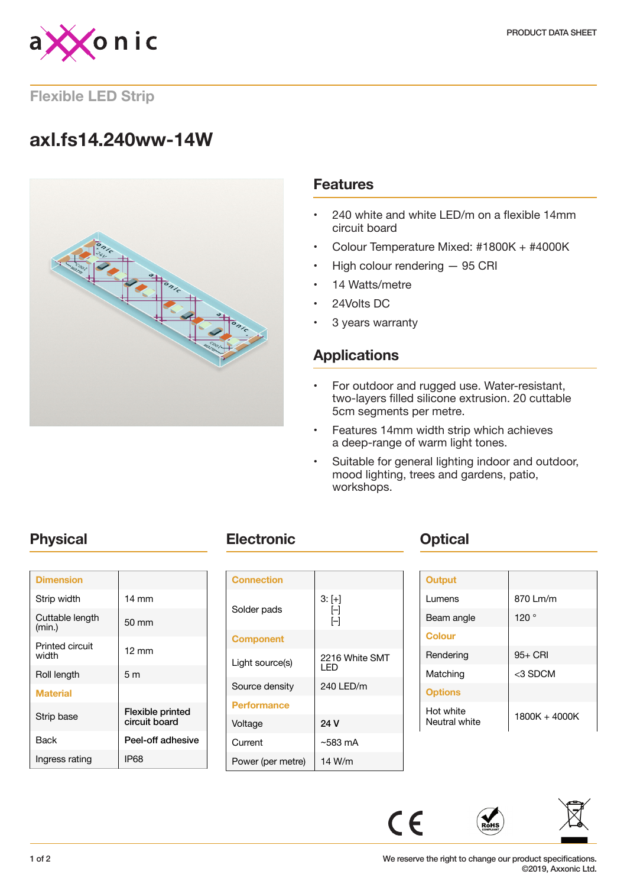

## **Flexible LED Strip**

# **axl.fs14.240ww-14W**



## **Features**

- 240 white and white LED/m on a flexible 14mm circuit board
- Colour Temperature Mixed: #1800K + #4000K
- High colour rendering 95 CRI
- 14 Watts/metre
- 24Volts DC
- 3 years warranty

## **Applications**

- For outdoor and rugged use. Water-resistant, two-layers filled silicone extrusion. 20 cuttable 5cm segments per metre.
- Features 14mm width strip which achieves a deep-range of warm light tones.
- Suitable for general lighting indoor and outdoor, mood lighting, trees and gardens, patio, workshops.

| <b>Dimension</b>          |                                   |
|---------------------------|-----------------------------------|
| Strip width               | $14 \text{ mm}$                   |
| Cuttable length<br>(min.) | $50 \text{ mm}$                   |
| Printed circuit<br>width  | $12 \text{ mm}$                   |
| Roll length               | 5m                                |
| <b>Material</b>           |                                   |
| Strip base                | Flexible printed<br>circuit board |
| Back                      | Peel-off adhesive                 |
| Ingress rating            | IP68                              |
|                           |                                   |

## **Physical <b>Electronic Change Physical**

| <b>Connection</b>  |                        |
|--------------------|------------------------|
| Solder pads        | $3: [+]$<br>H<br>ſ–1   |
| <b>Component</b>   |                        |
| Light source(s)    | 2216 White SMT<br>I FD |
| Source density     | 240 LED/m              |
| <b>Performance</b> |                        |
| Voltage            | 24 V                   |
| Current            | $~583 \text{ mA}$      |
| Power (per metre)  | 14 W/m                 |

| <b>Output</b>              |               |
|----------------------------|---------------|
| Lumens                     | 870 Lm/m      |
| Beam angle                 | 120°          |
| <b>Colour</b>              |               |
| Rendering                  | $95+$ CRI     |
| Matching                   | <3 SDCM       |
| <b>Options</b>             |               |
| Hot white<br>Neutral white | 1800K + 4000K |



 $C \in$